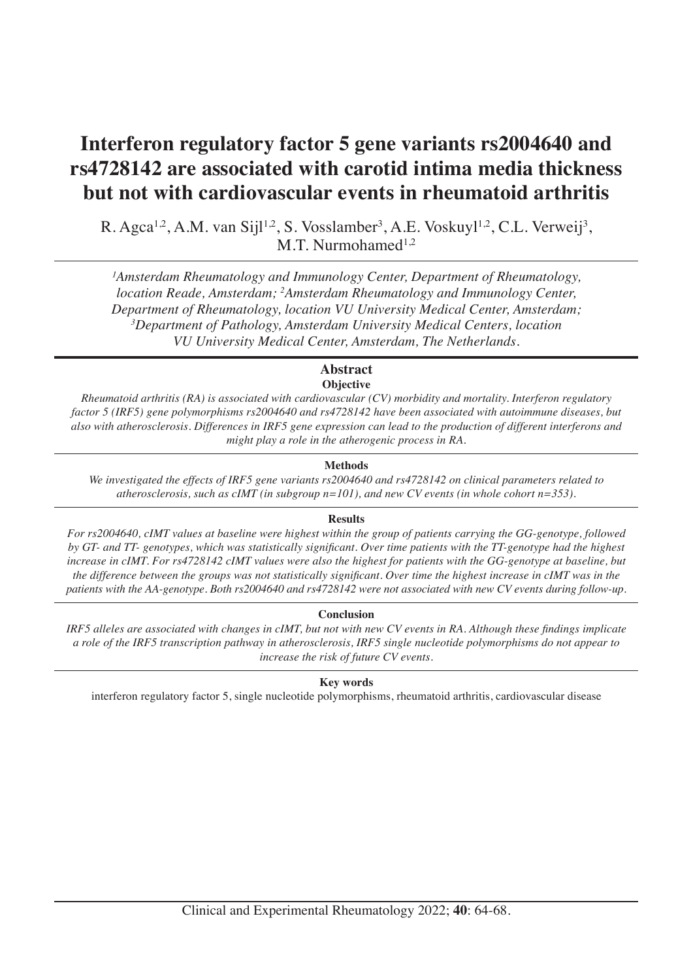# **Interferon regulatory factor 5 gene variants rs2004640 and rs4728142 are associated with carotid intima media thickness but not with cardiovascular events in rheumatoid arthritis**

R. Agca<sup>1,2</sup>, A.M. van Sijl<sup>1,2</sup>, S. Vosslamber<sup>3</sup>, A.E. Voskuyl<sup>1,2</sup>, C.L. Verweij<sup>3</sup>, M.T. Nurmohamed $1,2$ 

<sup>1</sup>Amsterdam Rheumatology and Immunology Center, Department of Rheumatology, *location Reade, Amsterdam; 2 Amsterdam Rheumatology and Immunology Center, Department of Rheumatology, location VU University Medical Center, Amsterdam; 3 Department of Pathology, Amsterdam University Medical Centers, location VU University Medical Center, Amsterdam, The Netherlands.*

# **Abstract Objective**

*Rheumatoid arthritis (RA) is associated with cardiovascular (CV) morbidity and mortality. Interferon regulatory factor 5 (IRF5) gene polymorphisms rs2004640 and rs4728142 have been associated with autoimmune diseases, but also with atherosclerosis. Differences in IRF5 gene expression can lead to the production of different interferons and might play a role in the atherogenic process in RA.* 

# **Methods**

*We investigated the effects of IRF5 gene variants rs2004640 and rs4728142 on clinical parameters related to atherosclerosis, such as cIMT (in subgroup n=101), and new CV events (in whole cohort n=353).*

# **Results**

*For rs2004640, cIMT values at baseline were highest within the group of patients carrying the GG-genotype, followed by GT- and TT- genotypes, which was statistically significant. Over time patients with the TT-genotype had the highest*  increase in cIMT. For rs4728142 cIMT values were also the highest for patients with the GG-genotype at baseline, but *the difference between the groups was not statistically significant. Over time the highest increase in cIMT was in the patients with the AA-genotype. Both rs2004640 and rs4728142 were not associated with new CV events during follow-up.*

# **Conclusion**

*IRF5 alleles are associated with changes in cIMT, but not with new CV events in RA. Although these findings implicate a role of the IRF5 transcription pathway in atherosclerosis, IRF5 single nucleotide polymorphisms do not appear to increase the risk of future CV events.*

**Key words**

interferon regulatory factor 5, single nucleotide polymorphisms, rheumatoid arthritis, cardiovascular disease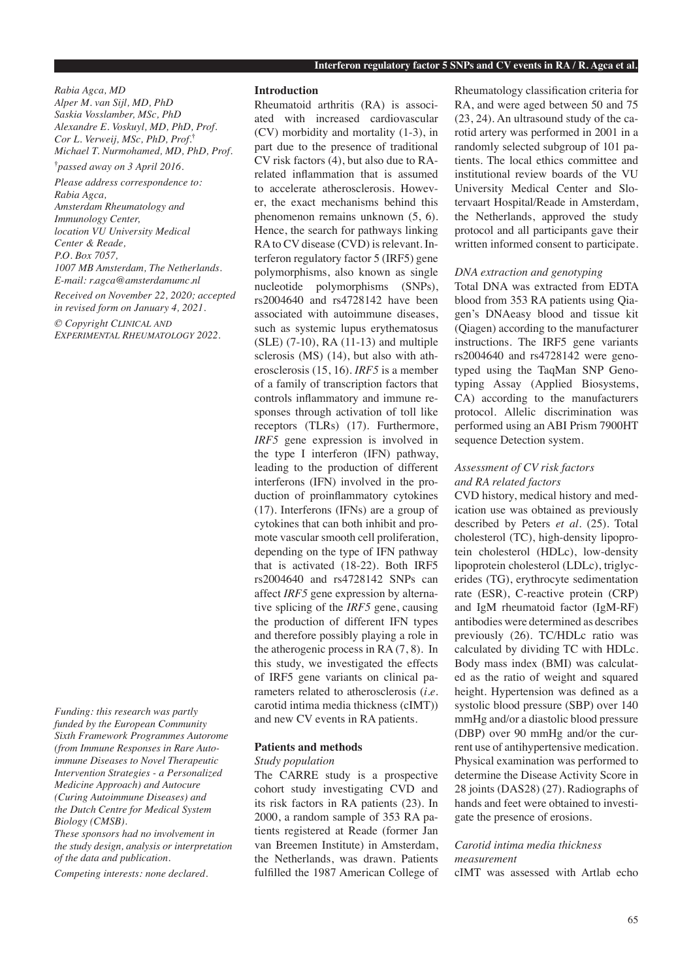*Rabia Agca, MD Alper M. van Sijl, MD, PhD Saskia Vosslamber, MSc, PhD Alexandre E. Voskuyl, MD, PhD, Prof. Cor L. Verweij, MSc, PhD, Prof.***†** *Michael T. Nurmohamed, MD, PhD, Prof.*

**†** *passed away on 3 April 2016.*

*Please address correspondence to: Rabia Agca, Amsterdam Rheumatology and Immunology Center, location VU University Medical Center & Reade, P.O. Box 7057, 1007 MB Amsterdam, The Netherlands. E-mail: r.agca@amsterdamumc.nl*

*Received on November 22, 2020; accepted in revised form on January 4, 2021.*

*© Copyright Clinical and Experimental Rheumatology 2022.*

*Funding: this research was partly funded by the European Community Sixth Framework Programmes Autorome (from Immune Responses in Rare Autoimmune Diseases to Novel Therapeutic Intervention Strategies - a Personalized Medicine Approach) and Autocure (Curing Autoimmune Diseases) and the Dutch Centre for Medical System Biology (CMSB).* 

*These sponsors had no involvement in the study design, analysis or interpretation of the data and publication.* 

*Competing interests: none declared.*

#### **Introduction**

Rheumatoid arthritis (RA) is associated with increased cardiovascular (CV) morbidity and mortality (1-3), in part due to the presence of traditional CV risk factors (4), but also due to RArelated inflammation that is assumed to accelerate atherosclerosis. However, the exact mechanisms behind this phenomenon remains unknown (5, 6). Hence, the search for pathways linking RA to CV disease (CVD) is relevant. Interferon regulatory factor 5 (IRF5) gene polymorphisms, also known as single nucleotide polymorphisms (SNPs), rs2004640 and rs4728142 have been associated with autoimmune diseases, such as systemic lupus erythematosus (SLE) (7-10), RA (11-13) and multiple sclerosis (MS) (14), but also with atherosclerosis (15, 16). *IRF5* is a member of a family of transcription factors that controls inflammatory and immune responses through activation of toll like receptors (TLRs) (17). Furthermore, *IRF5* gene expression is involved in the type I interferon (IFN) pathway, leading to the production of different interferons (IFN) involved in the production of proinflammatory cytokines (17). Interferons (IFNs) are a group of cytokines that can both inhibit and promote vascular smooth cell proliferation, depending on the type of IFN pathway that is activated (18-22). Both IRF5 rs2004640 and rs4728142 SNPs can affect *IRF5* gene expression by alternative splicing of the *IRF5* gene, causing the production of different IFN types and therefore possibly playing a role in the atherogenic process in RA (7, 8). In this study, we investigated the effects of IRF5 gene variants on clinical parameters related to atherosclerosis (*i.e.* carotid intima media thickness (cIMT)) and new CV events in RA patients.

#### **Patients and methods**

#### *Study population*

The CARRE study is a prospective cohort study investigating CVD and its risk factors in RA patients (23). In 2000, a random sample of 353 RA patients registered at Reade (former Jan van Breemen Institute) in Amsterdam, the Netherlands, was drawn. Patients fulfilled the 1987 American College of

Rheumatology classification criteria for RA, and were aged between 50 and 75 (23, 24). An ultrasound study of the carotid artery was performed in 2001 in a randomly selected subgroup of 101 patients. The local ethics committee and institutional review boards of the VU University Medical Center and Slotervaart Hospital/Reade in Amsterdam, the Netherlands, approved the study protocol and all participants gave their written informed consent to participate.

#### *DNA extraction and genotyping*

Total DNA was extracted from EDTA blood from 353 RA patients using Qiagen's DNAeasy blood and tissue kit (Qiagen) according to the manufacturer instructions. The IRF5 gene variants rs2004640 and rs4728142 were genotyped using the TaqMan SNP Genotyping Assay (Applied Biosystems, CA) according to the manufacturers protocol. Allelic discrimination was performed using an ABI Prism 7900HT sequence Detection system.

# *Assessment of CV risk factors and RA related factors*

CVD history, medical history and medication use was obtained as previously described by Peters *et al.* (25). Total cholesterol (TC), high-density lipoprotein cholesterol (HDLc), low-density lipoprotein cholesterol (LDLc), triglycerides (TG), erythrocyte sedimentation rate (ESR), C-reactive protein (CRP) and IgM rheumatoid factor (IgM-RF) antibodies were determined as describes previously (26). TC/HDLc ratio was calculated by dividing TC with HDLc. Body mass index (BMI) was calculated as the ratio of weight and squared height. Hypertension was defined as a systolic blood pressure (SBP) over 140 mmHg and/or a diastolic blood pressure (DBP) over 90 mmHg and/or the current use of antihypertensive medication. Physical examination was performed to determine the Disease Activity Score in 28 joints (DAS28) (27). Radiographs of hands and feet were obtained to investigate the presence of erosions.

# *Carotid intima media thickness measurement*

cIMT was assessed with Artlab echo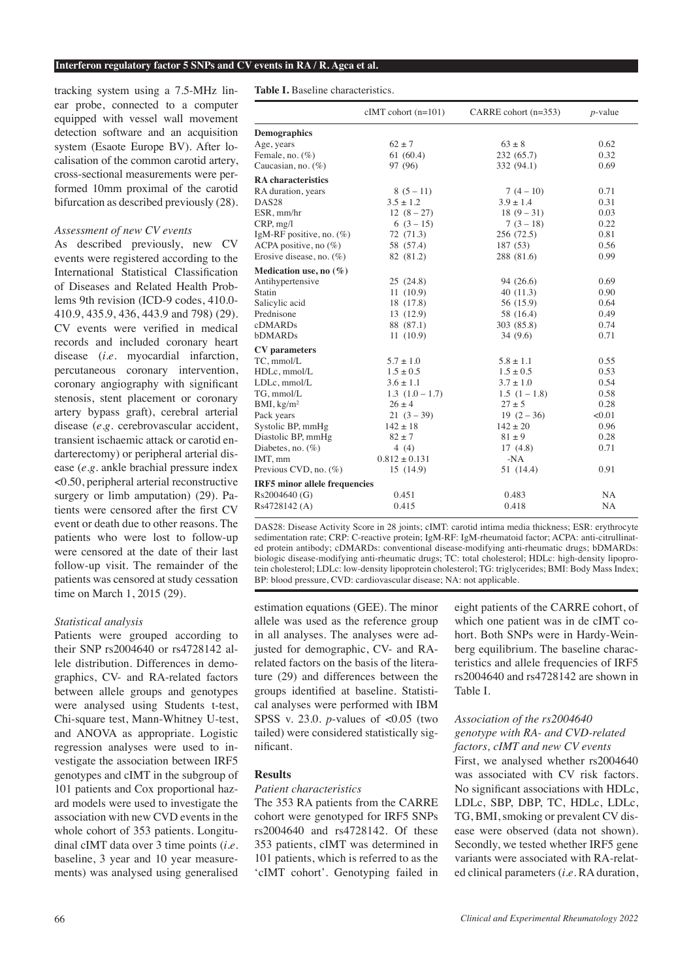#### **Interferon regulatory factor 5 SNPs and CV events in RA / R. Agca et al.**

tracking system using a 7.5-MHz linear probe, connected to a computer equipped with vessel wall movement detection software and an acquisition system (Esaote Europe BV). After localisation of the common carotid artery, cross-sectional measurements were performed 10mm proximal of the carotid bifurcation as described previously (28).

## *Assessment of new CV events*

As described previously, new CV events were registered according to the International Statistical Classification of Diseases and Related Health Problems 9th revision (ICD-9 codes, 410.0- 410.9, 435.9, 436, 443.9 and 798) (29). CV events were verified in medical records and included coronary heart disease (*i.e*. myocardial infarction, percutaneous coronary intervention, coronary angiography with significant stenosis, stent placement or coronary artery bypass graft), cerebral arterial disease (*e.g*. cerebrovascular accident, transient ischaemic attack or carotid endarterectomy) or peripheral arterial disease (*e.g.* ankle brachial pressure index <0.50, peripheral arterial reconstructive surgery or limb amputation) (29). Patients were censored after the first CV event or death due to other reasons. The patients who were lost to follow-up were censored at the date of their last follow-up visit. The remainder of the patients was censored at study cessation time on March 1, 2015 (29).

#### *Statistical analysis*

Patients were grouped according to their SNP rs2004640 or rs4728142 allele distribution. Differences in demographics, CV- and RA-related factors between allele groups and genotypes were analysed using Students t-test, Chi-square test, Mann-Whitney U-test, and ANOVA as appropriate. Logistic regression analyses were used to investigate the association between IRF5 genotypes and cIMT in the subgroup of 101 patients and Cox proportional hazard models were used to investigate the association with new CVD events in the whole cohort of 353 patients. Longitudinal cIMT data over 3 time points (*i.e*. baseline, 3 year and 10 year measurements) was analysed using generalised Table I. Baseline characteristics.

| <b>Demographics</b><br>$62 \pm 7$<br>$63 \pm 8$<br>Age, years<br>Female, no. $(\%)$<br>61(60.4)<br>232(65.7)<br>Caucasian, no. (%)<br>97 (96)<br>332 (94.1)<br><b>RA</b> characteristics<br>RA duration, years<br>$7(4-10)$<br>$8(5-11)$<br>$3.5 \pm 1.2$<br>$3.9 \pm 1.4$<br>DAS <sub>28</sub><br>ESR, mm/hr<br>$12(8-27)$<br>$18(9-31)$<br>$6(3-15)$<br>$7(3-18)$<br>CRP, mg/l<br>IgM-RF positive, no. $(\%)$<br>72 (71.3)<br>256 (72.5)<br>ACPA positive, no $(\%)$<br>58 (57.4)<br>187 (53)<br>Erosive disease, no. $(\%)$<br>82 (81.2)<br>288 (81.6) | 0.62<br>0.32<br>0.69<br>0.71<br>0.31<br>0.03<br>0.22<br>0.81<br>0.56<br>0.99 |
|-----------------------------------------------------------------------------------------------------------------------------------------------------------------------------------------------------------------------------------------------------------------------------------------------------------------------------------------------------------------------------------------------------------------------------------------------------------------------------------------------------------------------------------------------------------|------------------------------------------------------------------------------|
|                                                                                                                                                                                                                                                                                                                                                                                                                                                                                                                                                           |                                                                              |
|                                                                                                                                                                                                                                                                                                                                                                                                                                                                                                                                                           |                                                                              |
|                                                                                                                                                                                                                                                                                                                                                                                                                                                                                                                                                           |                                                                              |
|                                                                                                                                                                                                                                                                                                                                                                                                                                                                                                                                                           |                                                                              |
|                                                                                                                                                                                                                                                                                                                                                                                                                                                                                                                                                           |                                                                              |
|                                                                                                                                                                                                                                                                                                                                                                                                                                                                                                                                                           |                                                                              |
|                                                                                                                                                                                                                                                                                                                                                                                                                                                                                                                                                           |                                                                              |
|                                                                                                                                                                                                                                                                                                                                                                                                                                                                                                                                                           |                                                                              |
|                                                                                                                                                                                                                                                                                                                                                                                                                                                                                                                                                           |                                                                              |
|                                                                                                                                                                                                                                                                                                                                                                                                                                                                                                                                                           |                                                                              |
|                                                                                                                                                                                                                                                                                                                                                                                                                                                                                                                                                           |                                                                              |
|                                                                                                                                                                                                                                                                                                                                                                                                                                                                                                                                                           |                                                                              |
| Medication use, no $(\%)$                                                                                                                                                                                                                                                                                                                                                                                                                                                                                                                                 |                                                                              |
| Antihypertensive<br>25(24.8)<br>94 (26.6)                                                                                                                                                                                                                                                                                                                                                                                                                                                                                                                 | 0.69                                                                         |
| <b>Statin</b><br>11(10.9)<br>40(11.3)                                                                                                                                                                                                                                                                                                                                                                                                                                                                                                                     | 0.90                                                                         |
| 18 (17.8)<br>Salicylic acid<br>56 (15.9)                                                                                                                                                                                                                                                                                                                                                                                                                                                                                                                  | 0.64                                                                         |
| Prednisone<br>13 (12.9)<br>58 (16.4)                                                                                                                                                                                                                                                                                                                                                                                                                                                                                                                      | 0.49                                                                         |
| cDMARDs<br>88 (87.1)<br>303 (85.8)                                                                                                                                                                                                                                                                                                                                                                                                                                                                                                                        | 0.74                                                                         |
| <b>bDMARDs</b><br>11(10.9)<br>34(9.6)                                                                                                                                                                                                                                                                                                                                                                                                                                                                                                                     | 0.71                                                                         |
| <b>CV</b> parameters                                                                                                                                                                                                                                                                                                                                                                                                                                                                                                                                      |                                                                              |
| TC, mmol/L<br>$5.7 \pm 1.0$<br>$5.8 \pm 1.1$                                                                                                                                                                                                                                                                                                                                                                                                                                                                                                              | 0.55                                                                         |
| $1.5 \pm 0.5$<br>$1.5 \pm 0.5$<br>HDLc, mmol/L                                                                                                                                                                                                                                                                                                                                                                                                                                                                                                            | 0.53                                                                         |
| LDLc, mmol/L<br>$3.6 \pm 1.1$<br>$3.7 \pm 1.0$                                                                                                                                                                                                                                                                                                                                                                                                                                                                                                            | 0.54                                                                         |
| TG, mmol/L<br>$1.3(1.0-1.7)$<br>$1.5(1-1.8)$                                                                                                                                                                                                                                                                                                                                                                                                                                                                                                              | 0.58                                                                         |
| $26 \pm 4$<br>$27 \pm 5$<br>BMI, $kg/m2$                                                                                                                                                                                                                                                                                                                                                                                                                                                                                                                  | 0.28                                                                         |
| $19(2-36)$<br>Pack years<br>$21(3-39)$                                                                                                                                                                                                                                                                                                                                                                                                                                                                                                                    | < 0.01                                                                       |
| Systolic BP, mmHg<br>$142 \pm 20$<br>$142 \pm 18$                                                                                                                                                                                                                                                                                                                                                                                                                                                                                                         | 0.96                                                                         |
| $82 \pm 7$<br>$81 \pm 9$<br>Diastolic BP, mmHg                                                                                                                                                                                                                                                                                                                                                                                                                                                                                                            | 0.28                                                                         |
| Diabetes, no. $(\%)$<br>4(4)<br>17(4.8)                                                                                                                                                                                                                                                                                                                                                                                                                                                                                                                   | 0.71                                                                         |
| IMT, mm<br>$0.812 \pm 0.131$<br>$-NA$                                                                                                                                                                                                                                                                                                                                                                                                                                                                                                                     |                                                                              |
| Previous CVD, no. $(\%)$<br>15(14.9)<br>51 (14.4)                                                                                                                                                                                                                                                                                                                                                                                                                                                                                                         | 0.91                                                                         |
| <b>IRF5</b> minor allele frequencies                                                                                                                                                                                                                                                                                                                                                                                                                                                                                                                      |                                                                              |
| 0.451<br>Rs2004640 (G)<br>0.483                                                                                                                                                                                                                                                                                                                                                                                                                                                                                                                           | <b>NA</b>                                                                    |
| 0.415<br>Rs4728142 (A)<br>0.418                                                                                                                                                                                                                                                                                                                                                                                                                                                                                                                           | NA                                                                           |

DAS28: Disease Activity Score in 28 joints; cIMT: carotid intima media thickness; ESR: erythrocyte sedimentation rate; CRP: C-reactive protein; IgM-RF: IgM-rheumatoid factor; ACPA: anti-citrullinated protein antibody; cDMARDs: conventional disease-modifying anti-rheumatic drugs; bDMARDs: biologic disease-modifying anti-rheumatic drugs; TC: total cholesterol; HDLc: high-density lipoprotein cholesterol; LDLc: low-density lipoprotein cholesterol; TG: triglycerides; BMI: Body Mass Index; BP: blood pressure, CVD: cardiovascular disease; NA: not applicable.

estimation equations (GEE). The minor allele was used as the reference group in all analyses. The analyses were adjusted for demographic, CV- and RArelated factors on the basis of the literature (29) and differences between the groups identified at baseline. Statistical analyses were performed with IBM SPSS v. 23.0. *p*-values of <0.05 (two tailed) were considered statistically significant.

## **Results**

## *Patient characteristics*

The 353 RA patients from the CARRE cohort were genotyped for IRF5 SNPs rs2004640 and rs4728142. Of these 353 patients, cIMT was determined in 101 patients, which is referred to as the 'cIMT cohort'. Genotyping failed in

eight patients of the CARRE cohort, of which one patient was in de cIMT cohort. Both SNPs were in Hardy-Weinberg equilibrium. The baseline characteristics and allele frequencies of IRF5 rs2004640 and rs4728142 are shown in Table I.

# *Association of the rs2004640 genotype with RA- and CVD-related factors, cIMT and new CV events*

First, we analysed whether rs2004640 was associated with CV risk factors. No significant associations with HDLc, LDLc, SBP, DBP, TC, HDLc, LDLc, TG, BMI, smoking or prevalent CV disease were observed (data not shown). Secondly, we tested whether IRF5 gene variants were associated with RA-related clinical parameters (*i.e.* RA duration,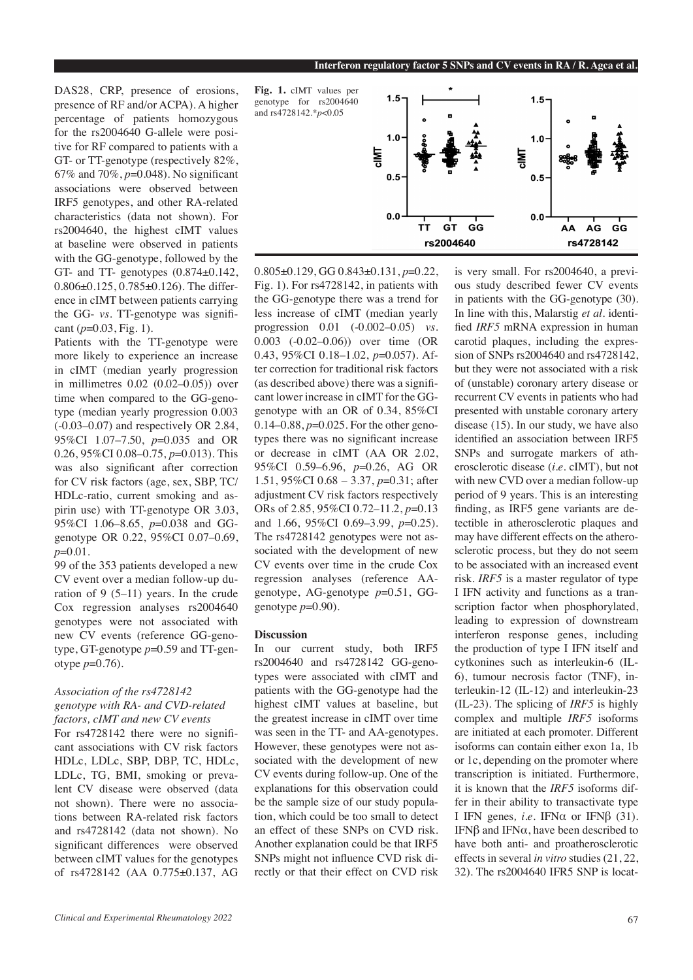DAS28, CRP, presence of erosions, presence of RF and/or ACPA). A higher percentage of patients homozygous for the rs2004640 G-allele were positive for RF compared to patients with a GT- or TT-genotype (respectively  $82\%$ ). 67% and 70%, *p*=0.048). No significant associations were observed between IRF5 genotypes, and other RA-related characteristics (data not shown). For rs2004640, the highest cIMT values at baseline were observed in patients with the GG-genotype, followed by the GT- and TT- genotypes (0.874±0.142, 0.806±0.125, 0.785±0.126). The difference in cIMT between patients carrying the GG- *vs.* TT-genotype was significant (*p*=0.03, Fig. 1).

Patients with the TT-genotype were more likely to experience an increase in cIMT (median yearly progression in millimetres 0.02 (0.02–0.05)) over time when compared to the GG-genotype (median yearly progression 0.003 (-0.03–0.07) and respectively OR 2.84, 95%CI 1.07–7.50, *p*=0.035 and OR 0.26, 95%CI 0.08–0.75, *p*=0.013). This was also significant after correction for CV risk factors (age, sex, SBP, TC/ HDLc-ratio, current smoking and aspirin use) with TT-genotype OR 3.03, 95%CI 1.06–8.65, *p*=0.038 and GGgenotype OR 0.22, 95%CI 0.07–0.69, *p*=0.01.

99 of the 353 patients developed a new CV event over a median follow-up duration of 9 (5–11) years. In the crude Cox regression analyses rs2004640 genotypes were not associated with new CV events (reference GG-genotype, GT-genotype *p*=0.59 and TT-genotype *p*=0.76).

# *Association of the rs4728142 genotype with RA- and CVD-related factors, cIMT and new CV events*

For rs4728142 there were no significant associations with CV risk factors HDLc, LDLc, SBP, DBP, TC, HDLc, LDLc, TG, BMI, smoking or prevalent CV disease were observed (data not shown). There were no associations between RA-related risk factors and rs4728142 (data not shown). No significant differences were observed between cIMT values for the genotypes of rs4728142 (AA 0.775±0.137, AG



0.805±0.129, GG 0.843±0.131, *p*=0.22, Fig. 1). For rs4728142, in patients with the GG-genotype there was a trend for less increase of cIMT (median yearly progression 0.01 (-0.002–0.05) *vs.* 0.003 (-0.02–0.06)) over time (OR 0.43, 95%CI 0.18–1.02, *p*=0.057). After correction for traditional risk factors (as described above) there was a significant lower increase in cIMT for the GGgenotype with an OR of 0.34, 85%CI 0.14–0.88, *p*=0.025. For the other genotypes there was no significant increase or decrease in cIMT (AA OR 2.02, 95%CI 0.59–6.96, *p*=0.26, AG OR 1.51, 95%CI 0.68 – 3.37, *p*=0.31; after adjustment CV risk factors respectively ORs of 2.85, 95%CI 0.72–11.2, *p*=0.13 and 1.66, 95%CI 0.69–3.99, *p*=0.25). The rs4728142 genotypes were not associated with the development of new CV events over time in the crude Cox regression analyses (reference AAgenotype, AG-genotype *p*=0.51, GGgenotype  $p=0.90$ ).

#### **Discussion**

In our current study, both IRF5 rs2004640 and rs4728142 GG-genotypes were associated with cIMT and patients with the GG-genotype had the highest cIMT values at baseline, but the greatest increase in cIMT over time was seen in the TT- and AA-genotypes. However, these genotypes were not associated with the development of new CV events during follow-up. One of the explanations for this observation could be the sample size of our study population, which could be too small to detect an effect of these SNPs on CVD risk. Another explanation could be that IRF5 SNPs might not influence CVD risk directly or that their effect on CVD risk

is very small. For rs2004640, a previous study described fewer CV events in patients with the GG-genotype (30). In line with this, Malarstig *et al.* identified *IRF5* mRNA expression in human carotid plaques, including the expression of SNPs rs2004640 and rs4728142, but they were not associated with a risk of (unstable) coronary artery disease or recurrent CV events in patients who had presented with unstable coronary artery disease (15). In our study, we have also identified an association between IRF5 SNPs and surrogate markers of atherosclerotic disease (*i.e*. cIMT), but not with new CVD over a median follow-up period of 9 years. This is an interesting finding, as IRF5 gene variants are detectible in atherosclerotic plaques and may have different effects on the atherosclerotic process, but they do not seem to be associated with an increased event risk. *IRF5* is a master regulator of type I IFN activity and functions as a transcription factor when phosphorylated, leading to expression of downstream interferon response genes, including the production of type I IFN itself and cytkonines such as interleukin-6 (IL-6), tumour necrosis factor (TNF), interleukin-12 (IL-12) and interleukin-23 (IL-23). The splicing of *IRF5* is highly complex and multiple *IRF5* isoforms are initiated at each promoter. Different isoforms can contain either exon 1a, 1b or 1c, depending on the promoter where transcription is initiated. Furthermore, it is known that the *IRF5* isoforms differ in their ability to transactivate type I IFN genes, *i.e.* IFN $\alpha$  or IFN $\beta$  (31). IFNβ and IFNα, have been described to have both anti- and proatherosclerotic effects in several *in vitro* studies (21, 22, 32). The rs2004640 IFR5 SNP is locat-